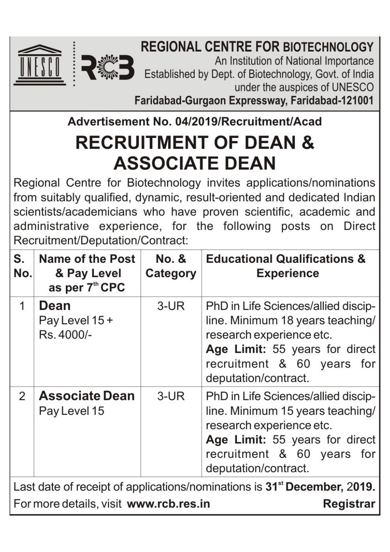

An Institution of National Importance Established by Dept. of Biotechnology, Govt. of India under the auspices of UNESCO

Faridabad-Gurgaon Expressway, Faridabad-121001

Advertisement No. 04/2019/Recruitment/Acad

# **RECRUITMENT OF DEAN & ASSOCIATE DEAN**

Regional Centre for Biotechnology invites applications/nominations from suitably qualified, dynamic, result-oriented and dedicated Indian scientists/academicians who have proven scientific, academic and administrative experience, for the following posts on Direct Recruitment/Deputation/Contract:

| S.<br>No.                                                                            | <b>Name of the Post</b><br>& Pay Level<br>as per 7th CPC | <b>No. &amp;</b><br>Category | <b>Educational Qualifications &amp;</b><br><b>Experience</b>                                                                                                                                |  |  |  |  |
|--------------------------------------------------------------------------------------|----------------------------------------------------------|------------------------------|---------------------------------------------------------------------------------------------------------------------------------------------------------------------------------------------|--|--|--|--|
| 1                                                                                    | Dean<br>Pay Level 15 +<br>Rs. 4000/-                     | $3$ -UR                      | PhD in Life Sciences/allied discip-<br>line. Minimum 18 years teaching/<br>research experience etc.<br>Age Limit: 55 years for direct<br>recruitment & 60 years for<br>deputation/contract. |  |  |  |  |
| 2                                                                                    | <b>Associate Dean</b><br>Pay Level 15                    | $3$ -UR                      | PhD in Life Sciences/allied discip-<br>line. Minimum 15 years teaching/<br>research experience etc.<br>Age Limit: 55 years for direct<br>recruitment & 60 years for<br>deputation/contract. |  |  |  |  |
| Last date of receipt of applications/nominations is 31 <sup>st</sup> December, 2019. |                                                          |                              |                                                                                                                                                                                             |  |  |  |  |
| For more details, visit www.rcb.res.in<br>Registrar                                  |                                                          |                              |                                                                                                                                                                                             |  |  |  |  |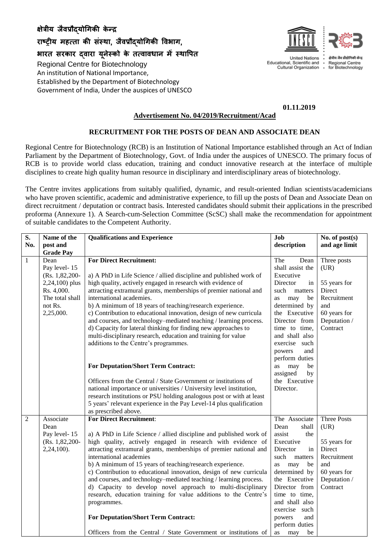## **क्षेत्रीय जैवप्रौद्योगिकी के न्द्र**

**राष्ट्रीय महत्ता की संस्था**, **जैवप्रौद्योगिकी ववभाि**,

**भारत सरकार द्वारा यनू ेस्को के तत्वावधान मेंस्थावित**

Regional Centre for Biotechnology An institution of National Importance, Established by the Department of Biotechnology Government of India, Under the auspices of UNESCO



**United Nations** Educational, Scientific and  $\bullet$ Cultural Organization

श्रेणीय जैन पौतोर्ग Regional Centre for Biotechnology

**01.11.2019**

#### **Advertisement No. 04/2019/Recruitment/Acad**

### **RECRUITMENT FOR THE POSTS OF DEAN AND ASSOCIATE DEAN**

Regional Centre for Biotechnology (RCB) is an Institution of National Importance established through an Act of Indian Parliament by the Department of Biotechnology, Govt. of India under the auspices of UNESCO. The primary focus of RCB is to provide world class education, training and conduct innovative research at the interface of multiple disciplines to create high quality human resource in disciplinary and interdisciplinary areas of biotechnology.

The Centre invites applications from suitably qualified, dynamic, and result-oriented Indian scientists/academicians who have proven scientific, academic and administrative experience, to fill up the posts of Dean and Associate Dean on direct recruitment / deputation or contract basis. Interested candidates should submit their applications in the prescribed proforma (Annexure 1). A Search-cum-Selection Committee (ScSC) shall make the recommendation for appointment of suitable candidates to the Competent Authority.

| S.             | Name of the                    | <b>Qualifications and Experience</b>                                                                                            | Job                               | No. of post(s)               |
|----------------|--------------------------------|---------------------------------------------------------------------------------------------------------------------------------|-----------------------------------|------------------------------|
| No.            | post and                       |                                                                                                                                 | description                       | and age limit                |
|                | <b>Grade Pay</b>               |                                                                                                                                 |                                   |                              |
| $\mathbf{1}$   | Dean                           | <b>For Direct Recruitment:</b>                                                                                                  | The<br>Dean<br>shall assist the   | Three posts                  |
|                | Pay level-15<br>(Rs. 1,82,200- | a) A PhD in Life Science / allied discipline and published work of                                                              | Executive                         | (UR)                         |
|                | 2,24,100) plus                 | high quality, actively engaged in research with evidence of                                                                     | Director<br>in                    | 55 years for                 |
|                | Rs. 4,000.                     | attracting extramural grants, memberships of premier national and                                                               | such<br>matters                   | Direct                       |
|                | The total shall                | international academies.                                                                                                        | may<br>be<br>as                   | Recruitment                  |
|                | not Rs.                        | b) A minimum of 18 years of teaching/research experience.                                                                       | determined by                     | and                          |
|                | 2,25,000.                      | c) Contribution to educational innovation, design of new curricula                                                              | the Executive                     | 60 years for                 |
|                |                                | and courses, and technology-mediated teaching / learning process.                                                               | Director from                     | Deputation /                 |
|                |                                | d) Capacity for lateral thinking for finding new approaches to                                                                  | time to time,                     | Contract                     |
|                |                                | multi-disciplinary research, education and training for value                                                                   | and shall also                    |                              |
|                |                                | additions to the Centre's programmes.                                                                                           | exercise such                     |                              |
|                |                                |                                                                                                                                 | powers<br>and                     |                              |
|                |                                |                                                                                                                                 | perform duties                    |                              |
|                |                                | <b>For Deputation/Short Term Contract:</b>                                                                                      | may<br>be<br>as<br>assigned<br>by |                              |
|                |                                | Officers from the Central / State Government or institutions of                                                                 | the Executive                     |                              |
|                |                                | national importance or universities / University level institution,                                                             | Director.                         |                              |
|                |                                | research institutions or PSU holding analogous post or with at least                                                            |                                   |                              |
|                |                                | 5 years' relevant experience in the Pay Level-14 plus qualification                                                             |                                   |                              |
|                |                                | as prescribed above.                                                                                                            |                                   |                              |
| $\overline{2}$ | Associate                      | <b>For Direct Recruitment:</b>                                                                                                  | The Associate                     | <b>Three Posts</b>           |
|                | Dean                           |                                                                                                                                 | Dean<br>shall                     | (UR)                         |
|                | Pay level-15                   | a) A PhD in Life Science / allied discipline and published work of                                                              | assist<br>the                     |                              |
|                | (Rs. 1,82,200-                 | high quality, actively engaged in research with evidence of                                                                     | Executive                         | 55 years for                 |
|                | 2,24,100).                     | attracting extramural grants, memberships of premier national and                                                               | Director<br>in                    | <b>Direct</b>                |
|                |                                | international academies                                                                                                         | such<br>matters                   | Recruitment                  |
|                |                                | b) A minimum of 15 years of teaching/research experience.<br>c) Contribution to educational innovation, design of new curricula | may<br>be<br>as                   | and                          |
|                |                                | and courses, and technology–mediated teaching / learning process.                                                               | determined by<br>the Executive    | 60 years for<br>Deputation / |
|                |                                | d) Capacity to develop novel approach to multi-disciplinary                                                                     | Director from                     | Contract                     |
|                |                                | research, education training for value additions to the Centre's                                                                | time to time,                     |                              |
|                |                                | programmes.                                                                                                                     | and shall also                    |                              |
|                |                                |                                                                                                                                 | exercise such                     |                              |
|                |                                | <b>For Deputation/Short Term Contract:</b>                                                                                      | powers<br>and                     |                              |
|                |                                |                                                                                                                                 | perform duties                    |                              |
|                |                                | Officers from the Central / State Government or institutions of                                                                 | be<br>may<br>as                   |                              |